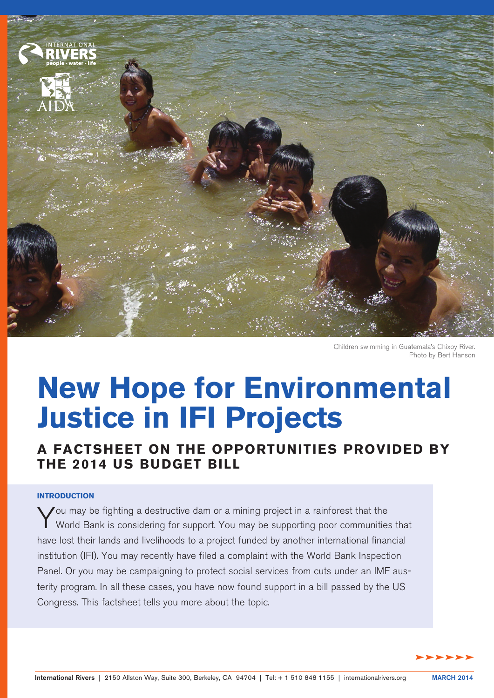

Children swimming in Guatemala's Chixoy River. Photo by Bert Hanson

# **New Hope for Environmental Justice in IFI Projects**

**A Factsheet on the Opportunities Provided by the 2014 US Budget Bill**

# **Introduction**

You may be fighting a destructive dam or a mining project in a rainforest that the<br>World Bank is considering for support. You may be supporting poor communities that have lost their lands and livelihoods to a project funded by another international financial institution (IFI). You may recently have filed a complaint with the World Bank Inspection Panel. Or you may be campaigning to protect social services from cuts under an IMF austerity program. In all these cases, you have now found support in a bill passed by the US Congress. This factsheet tells you more about the topic.

dddddd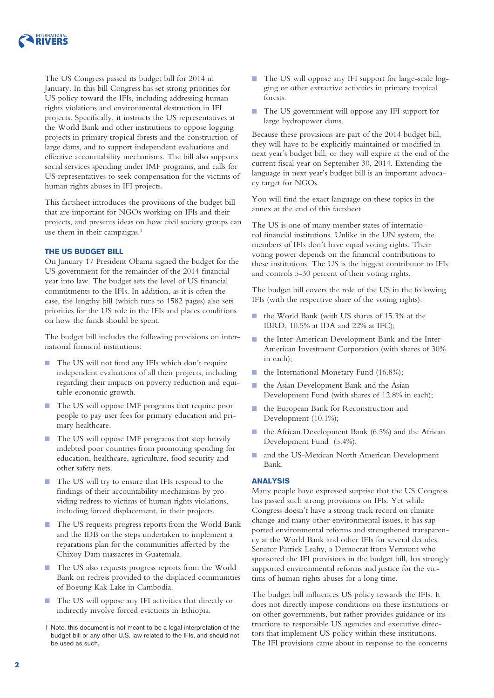

The US Congress passed its budget bill for 2014 in January. In this bill Congress has set strong priorities for US policy toward the IFIs, including addressing human rights violations and environmental destruction in IFI projects. Specifically, it instructs the US representatives at the World Bank and other institutions to oppose logging projects in primary tropical forests and the construction of large dams, and to support independent evaluations and effective accountability mechanisms. The bill also supports social services spending under IMF programs, and calls for US representatives to seek compensation for the victims of human rights abuses in IFI projects.

This factsheet introduces the provisions of the budget bill that are important for NGOs working on IFIs and their projects, and presents ideas on how civil society groups can use them in their campaigns.<sup>1</sup>

# **The US budget bill**

On January 17 President Obama signed the budget for the US government for the remainder of the 2014 financial year into law. The budget sets the level of US financial commitments to the IFIs. In addition, as it is often the case, the lengthy bill (which runs to 1582 pages) also sets priorities for the US role in the IFIs and places conditions on how the funds should be spent.

The budget bill includes the following provisions on international financial institutions:

- The US will not fund any IFIs which don't require independent evaluations of all their projects, including regarding their impacts on poverty reduction and equitable economic growth.
- The US will oppose IMF programs that require poor people to pay user fees for primary education and primary healthcare.
- The US will oppose IMF programs that stop heavily indebted poor countries from promoting spending for education, healthcare, agriculture, food security and other safety nets.
- The US will try to ensure that IFIs respond to the findings of their accountability mechanisms by providing redress to victims of human rights violations, including forced displacement, in their projects.
- The US requests progress reports from the World Bank and the IDB on the steps undertaken to implement a reparations plan for the communities affected by the Chixoy Dam massacres in Guatemala.
- The US also requests progress reports from the World Bank on redress provided to the displaced communities of Boeung Kak Lake in Cambodia.
- The US will oppose any IFI activities that directly or indirectly involve forced evictions in Ethiopia.
- The US will oppose any IFI support for large-scale logging or other extractive activities in primary tropical forests.
- The US government will oppose any IFI support for large hydropower dams.

Because these provisions are part of the 2014 budget bill, they will have to be explicitly maintained or modified in next year's budget bill, or they will expire at the end of the current fiscal year on September 30, 2014. Extending the language in next year's budget bill is an important advocacy target for NGOs.

You will find the exact language on these topics in the annex at the end of this factsheet.

The US is one of many member states of international financial institutions. Unlike in the UN system, the members of IFIs don't have equal voting rights. Their voting power depends on the financial contributions to these institutions. The US is the biggest contributor to IFIs and controls 5-30 percent of their voting rights.

The budget bill covers the role of the US in the following IFIs (with the respective share of the voting rights):

- the World Bank (with US shares of 15.3% at the IBRD, 10.5% at IDA and 22% at IFC);
- the Inter-American Development Bank and the Inter-American Investment Corporation (with shares of 30% in each);
- the International Monetary Fund (16.8%);
- the Asian Development Bank and the Asian Development Fund (with shares of 12.8% in each);
- the European Bank for Reconstruction and Development (10.1%);
- the African Development Bank (6.5%) and the African Development Fund (5.4%);
- and the US-Mexican North American Development Bank.

### **Analysis**

Many people have expressed surprise that the US Congress has passed such strong provisions on IFIs. Yet while Congress doesn't have a strong track record on climate change and many other environmental issues, it has supported environmental reforms and strengthened transparency at the World Bank and other IFIs for several decades. Senator Patrick Leahy, a Democrat from Vermont who sponsored the IFI provisions in the budget bill, has strongly supported environmental reforms and justice for the victims of human rights abuses for a long time.

The budget bill influences US policy towards the IFIs. It does not directly impose conditions on these institutions or on other governments, but rather provides guidance or instructions to responsible US agencies and executive directors that implement US policy within these institutions. The IFI provisions came about in response to the concerns

<sup>1</sup> Note, this document is not meant to be a legal interpretation of the budget bill or any other U.S. law related to the IFIs, and should not be used as such.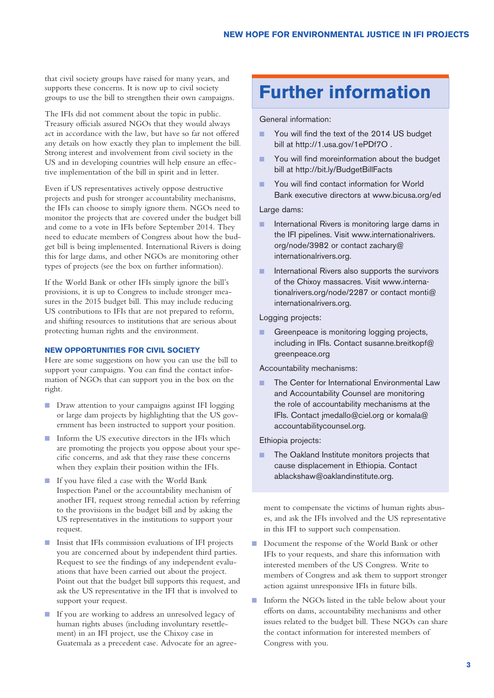that civil society groups have raised for many years, and supports these concerns. It is now up to civil society groups to use the bill to strengthen their own campaigns.

The IFIs did not comment about the topic in public. Treasury officials assured NGOs that they would always act in accordance with the law, but have so far not offered any details on how exactly they plan to implement the bill. Strong interest and involvement from civil society in the US and in developing countries will help ensure an effective implementation of the bill in spirit and in letter.

Even if US representatives actively oppose destructive projects and push for stronger accountability mechanisms, the IFIs can choose to simply ignore them. NGOs need to monitor the projects that are covered under the budget bill and come to a vote in IFIs before September 2014. They need to educate members of Congress about how the budget bill is being implemented. International Rivers is doing this for large dams, and other NGOs are monitoring other types of projects (see the box on further information).

If the World Bank or other IFIs simply ignore the bill's provisions, it is up to Congress to include stronger measures in the 2015 budget bill. This may include reducing US contributions to IFIs that are not prepared to reform, and shifting resources to institutions that are serious about protecting human rights and the environment.

# **New opportunities for civil society**

Here are some suggestions on how you can use the bill to support your campaigns. You can find the contact information of NGOs that can support you in the box on the right.

- Draw attention to your campaigns against IFI logging or large dam projects by highlighting that the US government has been instructed to support your position.
- Inform the US executive directors in the IFIs which are promoting the projects you oppose about your specific concerns, and ask that they raise these concerns when they explain their position within the IFIs.
- If you have filed a case with the World Bank Inspection Panel or the accountability mechanism of another IFI, request strong remedial action by referring to the provisions in the budget bill and by asking the US representatives in the institutions to support your request.
- Insist that IFIs commission evaluations of IFI projects you are concerned about by independent third parties. Request to see the findings of any independent evaluations that have been carried out about the project. Point out that the budget bill supports this request, and ask the US representative in the IFI that is involved to support your request.
- If you are working to address an unresolved legacy of human rights abuses (including involuntary resettlement) in an IFI project, use the Chixoy case in Guatemala as a precedent case. Advocate for an agree-

# **Further information**

# General information:

- You will find the text of the 2014 US budget bill at<http://1.usa.gov/1ePDf7O>.
- You will find moreinformation about the budget bill at<http://bit.ly/BudgetBillFacts>
- You will find contact information for World Bank executive directors at [www.bicusa.org/ed](http://www.bicusa.org/ed)

#### Large dams:

- International Rivers is monitoring large dams in the IFI pipelines. Visit [www.internationalrivers.](http://www.internationalrivers.org/node/3982) [org/node/3982](http://www.internationalrivers.org/node/3982) or contact [zachary@](mailto:zachary@internationalrivers.org) [internationalrivers.org](mailto:zachary@internationalrivers.org).
- International Rivers also supports the survivors of the Chixoy massacres. Visit [www.interna](http://www.internationalrivers.org/node/2287)[tionalrivers.org/node/2287](http://www.internationalrivers.org/node/2287) or contact [monti@](mailto:monti@internationalrivers.org) [internationalrivers.org](mailto:monti@internationalrivers.org).

#### Logging projects:

■ Greenpeace is monitoring logging projects, including in IFIs. Contact [susanne.breitkopf@](mailto:susanne.breitkopf@greenpeace.org) [greenpeace.org](mailto:susanne.breitkopf@greenpeace.org)

# Accountability mechanisms:

■ The Center for International Environmental Law and Accountability Counsel are monitoring the role of accountability mechanisms at the IFIs. Contact [jmedallo@ciel.org](mailto:jmedallo@ciel.org) or [komala@](mailto:komala@accountabilitycounsel.org) [accountabilitycounsel.org.](mailto:komala@accountabilitycounsel.org)

## Ethiopia projects:

The Oakland Institute monitors projects that cause displacement in Ethiopia. Contact [ablackshaw@oaklandinstitute.org](mailto:ablackshaw@oaklandinstitute.org).

ment to compensate the victims of human rights abuses, and ask the IFIs involved and the US representative in this IFI to support such compensation.

- Document the response of the World Bank or other IFIs to your requests, and share this information with interested members of the US Congress. Write to members of Congress and ask them to support stronger action against unresponsive IFIs in future bills.
- Inform the NGOs listed in the table below about your efforts on dams, accountability mechanisms and other issues related to the budget bill. These NGOs can share the contact information for interested members of Congress with you.